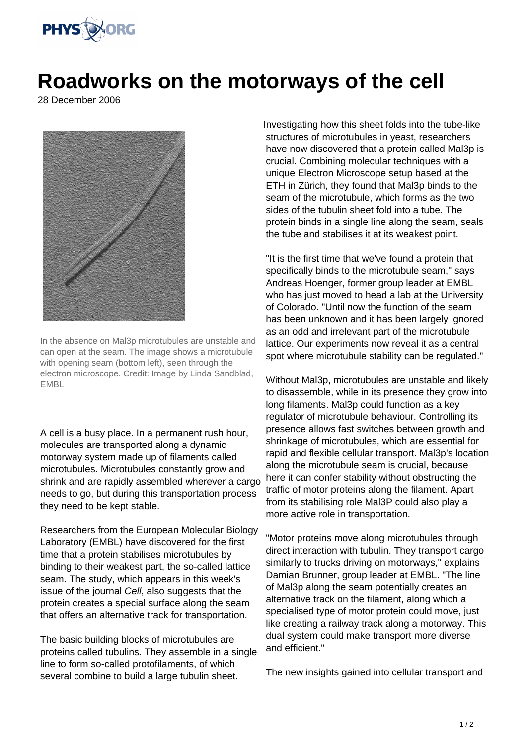

## **Roadworks on the motorways of the cell**

28 December 2006



In the absence on Mal3p microtubules are unstable and can open at the seam. The image shows a microtubule with opening seam (bottom left), seen through the electron microscope. Credit: Image by Linda Sandblad, EMBL

A cell is a busy place. In a permanent rush hour, molecules are transported along a dynamic motorway system made up of filaments called microtubules. Microtubules constantly grow and shrink and are rapidly assembled wherever a cargo needs to go, but during this transportation process they need to be kept stable.

Researchers from the European Molecular Biology Laboratory (EMBL) have discovered for the first time that a protein stabilises microtubules by binding to their weakest part, the so-called lattice seam. The study, which appears in this week's issue of the journal Cell, also suggests that the protein creates a special surface along the seam that offers an alternative track for transportation.

The basic building blocks of microtubules are proteins called tubulins. They assemble in a single line to form so-called protofilaments, of which several combine to build a large tubulin sheet.

Investigating how this sheet folds into the tube-like structures of microtubules in yeast, researchers have now discovered that a protein called Mal3p is crucial. Combining molecular techniques with a unique Electron Microscope setup based at the ETH in Zürich, they found that Mal3p binds to the seam of the microtubule, which forms as the two sides of the tubulin sheet fold into a tube. The protein binds in a single line along the seam, seals the tube and stabilises it at its weakest point.

"It is the first time that we've found a protein that specifically binds to the microtubule seam," says Andreas Hoenger, former group leader at EMBL who has just moved to head a lab at the University of Colorado. "Until now the function of the seam has been unknown and it has been largely ignored as an odd and irrelevant part of the microtubule lattice. Our experiments now reveal it as a central spot where microtubule stability can be regulated."

Without Mal3p, microtubules are unstable and likely to disassemble, while in its presence they grow into long filaments. Mal3p could function as a key regulator of microtubule behaviour. Controlling its presence allows fast switches between growth and shrinkage of microtubules, which are essential for rapid and flexible cellular transport. Mal3p's location along the microtubule seam is crucial, because here it can confer stability without obstructing the traffic of motor proteins along the filament. Apart from its stabilising role Mal3P could also play a more active role in transportation.

"Motor proteins move along microtubules through direct interaction with tubulin. They transport cargo similarly to trucks driving on motorways," explains Damian Brunner, group leader at EMBL. "The line of Mal3p along the seam potentially creates an alternative track on the filament, along which a specialised type of motor protein could move, just like creating a railway track along a motorway. This dual system could make transport more diverse and efficient."

The new insights gained into cellular transport and